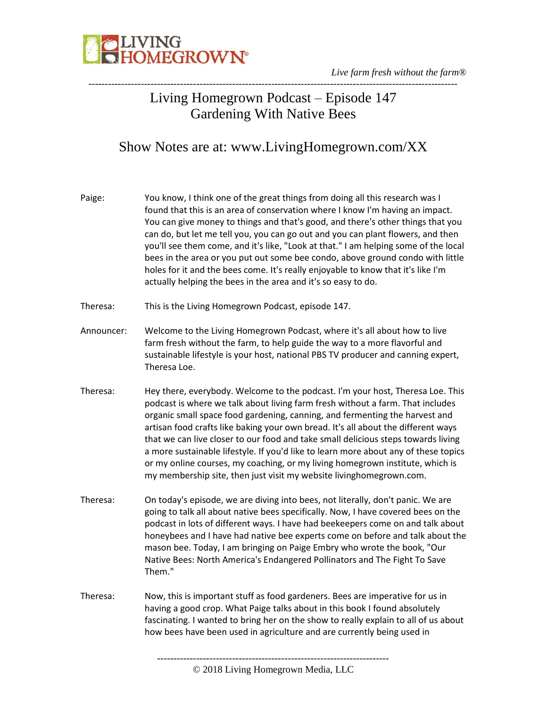

#### Living Homegrown Podcast – Episode 147 Gardening With Native Bees

#### Show Notes are at: www.LivingHomegrown.com/XX

| Paige:     | You know, I think one of the great things from doing all this research was I<br>found that this is an area of conservation where I know I'm having an impact.<br>You can give money to things and that's good, and there's other things that you<br>can do, but let me tell you, you can go out and you can plant flowers, and then<br>you'll see them come, and it's like, "Look at that." I am helping some of the local<br>bees in the area or you put out some bee condo, above ground condo with little<br>holes for it and the bees come. It's really enjoyable to know that it's like I'm<br>actually helping the bees in the area and it's so easy to do.        |
|------------|--------------------------------------------------------------------------------------------------------------------------------------------------------------------------------------------------------------------------------------------------------------------------------------------------------------------------------------------------------------------------------------------------------------------------------------------------------------------------------------------------------------------------------------------------------------------------------------------------------------------------------------------------------------------------|
| Theresa:   | This is the Living Homegrown Podcast, episode 147.                                                                                                                                                                                                                                                                                                                                                                                                                                                                                                                                                                                                                       |
| Announcer: | Welcome to the Living Homegrown Podcast, where it's all about how to live<br>farm fresh without the farm, to help guide the way to a more flavorful and<br>sustainable lifestyle is your host, national PBS TV producer and canning expert,<br>Theresa Loe.                                                                                                                                                                                                                                                                                                                                                                                                              |
| Theresa:   | Hey there, everybody. Welcome to the podcast. I'm your host, Theresa Loe. This<br>podcast is where we talk about living farm fresh without a farm. That includes<br>organic small space food gardening, canning, and fermenting the harvest and<br>artisan food crafts like baking your own bread. It's all about the different ways<br>that we can live closer to our food and take small delicious steps towards living<br>a more sustainable lifestyle. If you'd like to learn more about any of these topics<br>or my online courses, my coaching, or my living homegrown institute, which is<br>my membership site, then just visit my website livinghomegrown.com. |
| Theresa:   | On today's episode, we are diving into bees, not literally, don't panic. We are<br>going to talk all about native bees specifically. Now, I have covered bees on the<br>podcast in lots of different ways. I have had beekeepers come on and talk about<br>honeybees and I have had native bee experts come on before and talk about the<br>mason bee. Today, I am bringing on Paige Embry who wrote the book, "Our<br>Native Bees: North America's Endangered Pollinators and The Fight To Save<br>Them."                                                                                                                                                               |
| Theresa:   | Now, this is important stuff as food gardeners. Bees are imperative for us in<br>having a good crop. What Paige talks about in this book I found absolutely<br>fascinating. I wanted to bring her on the show to really explain to all of us about<br>how bees have been used in agriculture and are currently being used in                                                                                                                                                                                                                                                                                                                                             |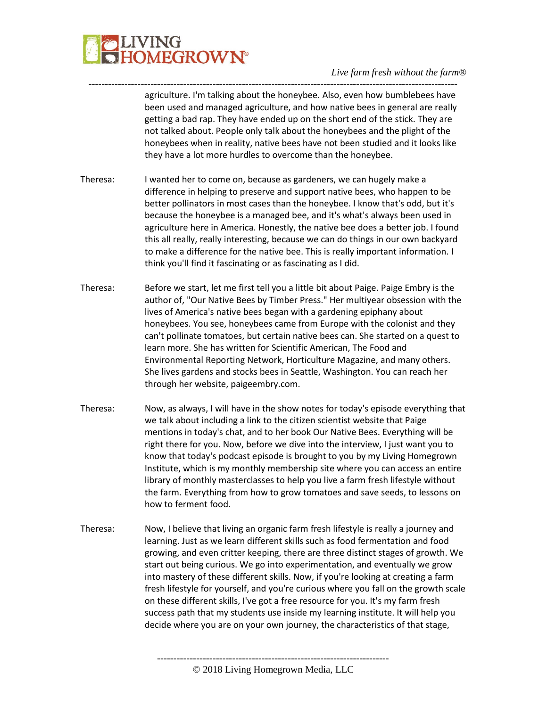

---------------------------------------------------------------------------------------------------------------- agriculture. I'm talking about the honeybee. Also, even how bumblebees have been used and managed agriculture, and how native bees in general are really getting a bad rap. They have ended up on the short end of the stick. They are not talked about. People only talk about the honeybees and the plight of the honeybees when in reality, native bees have not been studied and it looks like they have a lot more hurdles to overcome than the honeybee.

- Theresa: I wanted her to come on, because as gardeners, we can hugely make a difference in helping to preserve and support native bees, who happen to be better pollinators in most cases than the honeybee. I know that's odd, but it's because the honeybee is a managed bee, and it's what's always been used in agriculture here in America. Honestly, the native bee does a better job. I found this all really, really interesting, because we can do things in our own backyard to make a difference for the native bee. This is really important information. I think you'll find it fascinating or as fascinating as I did.
- Theresa: Before we start, let me first tell you a little bit about Paige. Paige Embry is the author of, "Our Native Bees by Timber Press." Her multiyear obsession with the lives of America's native bees began with a gardening epiphany about honeybees. You see, honeybees came from Europe with the colonist and they can't pollinate tomatoes, but certain native bees can. She started on a quest to learn more. She has written for Scientific American, The Food and Environmental Reporting Network, Horticulture Magazine, and many others. She lives gardens and stocks bees in Seattle, Washington. You can reach her through her website, paigeembry.com.
- Theresa: Now, as always, I will have in the show notes for today's episode everything that we talk about including a link to the citizen scientist website that Paige mentions in today's chat, and to her book Our Native Bees. Everything will be right there for you. Now, before we dive into the interview, I just want you to know that today's podcast episode is brought to you by my Living Homegrown Institute, which is my monthly membership site where you can access an entire library of monthly masterclasses to help you live a farm fresh lifestyle without the farm. Everything from how to grow tomatoes and save seeds, to lessons on how to ferment food.
- Theresa: Now, I believe that living an organic farm fresh lifestyle is really a journey and learning. Just as we learn different skills such as food fermentation and food growing, and even critter keeping, there are three distinct stages of growth. We start out being curious. We go into experimentation, and eventually we grow into mastery of these different skills. Now, if you're looking at creating a farm fresh lifestyle for yourself, and you're curious where you fall on the growth scale on these different skills, I've got a free resource for you. It's my farm fresh success path that my students use inside my learning institute. It will help you decide where you are on your own journey, the characteristics of that stage,

-----------------------------------------------------------------------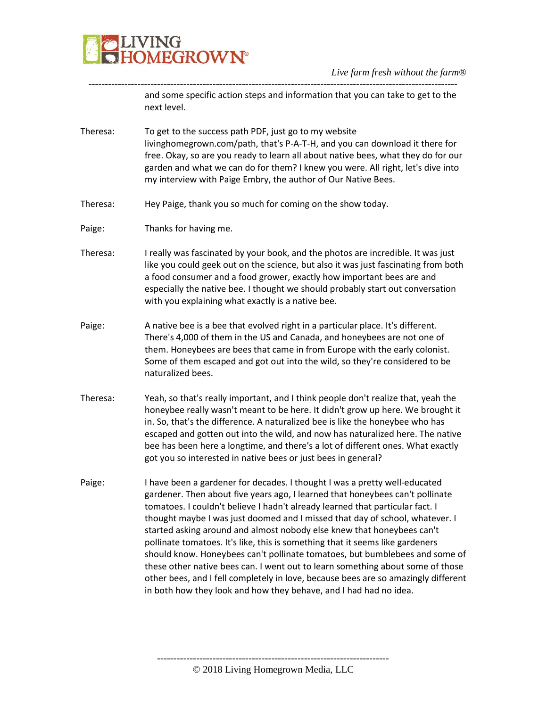

---------------------------------------------------------------------------------------------------------------- and some specific action steps and information that you can take to get to the next level.

- Theresa: To get to the success path PDF, just go to my website livinghomegrown.com/path, that's P-A-T-H, and you can download it there for free. Okay, so are you ready to learn all about native bees, what they do for our garden and what we can do for them? I knew you were. All right, let's dive into my interview with Paige Embry, the author of Our Native Bees.
- Theresa: Hey Paige, thank you so much for coming on the show today.
- Paige: Thanks for having me.
- Theresa: I really was fascinated by your book, and the photos are incredible. It was just like you could geek out on the science, but also it was just fascinating from both a food consumer and a food grower, exactly how important bees are and especially the native bee. I thought we should probably start out conversation with you explaining what exactly is a native bee.
- Paige: A native bee is a bee that evolved right in a particular place. It's different. There's 4,000 of them in the US and Canada, and honeybees are not one of them. Honeybees are bees that came in from Europe with the early colonist. Some of them escaped and got out into the wild, so they're considered to be naturalized bees.
- Theresa: Yeah, so that's really important, and I think people don't realize that, yeah the honeybee really wasn't meant to be here. It didn't grow up here. We brought it in. So, that's the difference. A naturalized bee is like the honeybee who has escaped and gotten out into the wild, and now has naturalized here. The native bee has been here a longtime, and there's a lot of different ones. What exactly got you so interested in native bees or just bees in general?
- Paige: I have been a gardener for decades. I thought I was a pretty well-educated gardener. Then about five years ago, I learned that honeybees can't pollinate tomatoes. I couldn't believe I hadn't already learned that particular fact. I thought maybe I was just doomed and I missed that day of school, whatever. I started asking around and almost nobody else knew that honeybees can't pollinate tomatoes. It's like, this is something that it seems like gardeners should know. Honeybees can't pollinate tomatoes, but bumblebees and some of these other native bees can. I went out to learn something about some of those other bees, and I fell completely in love, because bees are so amazingly different in both how they look and how they behave, and I had had no idea.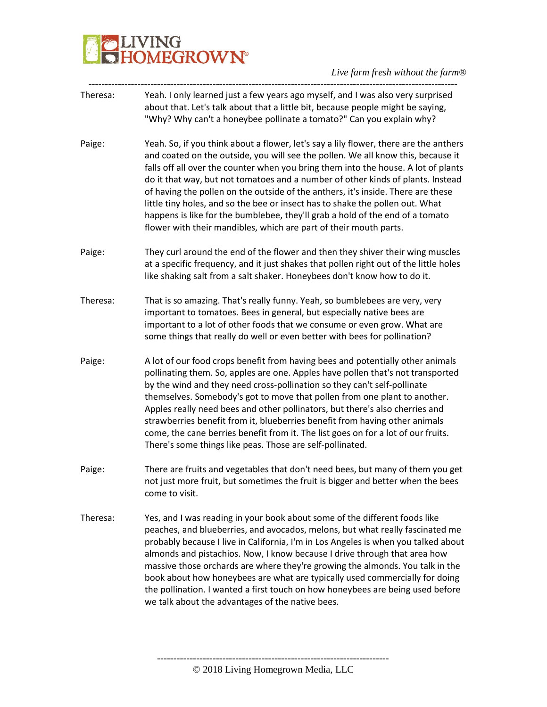# IVING<br>IOMEGROWN®

*Live farm fresh without the farm®*

----------------------------------------------------------------------------------------------------------------- Theresa: Yeah. I only learned just a few years ago myself, and I was also very surprised about that. Let's talk about that a little bit, because people might be saying, "Why? Why can't a honeybee pollinate a tomato?" Can you explain why? Paige: Yeah. So, if you think about a flower, let's say a lily flower, there are the anthers and coated on the outside, you will see the pollen. We all know this, because it falls off all over the counter when you bring them into the house. A lot of plants do it that way, but not tomatoes and a number of other kinds of plants. Instead of having the pollen on the outside of the anthers, it's inside. There are these little tiny holes, and so the bee or insect has to shake the pollen out. What happens is like for the bumblebee, they'll grab a hold of the end of a tomato flower with their mandibles, which are part of their mouth parts. Paige: They curl around the end of the flower and then they shiver their wing muscles at a specific frequency, and it just shakes that pollen right out of the little holes like shaking salt from a salt shaker. Honeybees don't know how to do it. Theresa: That is so amazing. That's really funny. Yeah, so bumblebees are very, very important to tomatoes. Bees in general, but especially native bees are important to a lot of other foods that we consume or even grow. What are some things that really do well or even better with bees for pollination? Paige: A lot of our food crops benefit from having bees and potentially other animals pollinating them. So, apples are one. Apples have pollen that's not transported by the wind and they need cross-pollination so they can't self-pollinate themselves. Somebody's got to move that pollen from one plant to another. Apples really need bees and other pollinators, but there's also cherries and strawberries benefit from it, blueberries benefit from having other animals come, the cane berries benefit from it. The list goes on for a lot of our fruits. There's some things like peas. Those are self-pollinated. Paige: There are fruits and vegetables that don't need bees, but many of them you get not just more fruit, but sometimes the fruit is bigger and better when the bees come to visit. Theresa: Yes, and I was reading in your book about some of the different foods like peaches, and blueberries, and avocados, melons, but what really fascinated me probably because I live in California, I'm in Los Angeles is when you talked about almonds and pistachios. Now, I know because I drive through that area how massive those orchards are where they're growing the almonds. You talk in the book about how honeybees are what are typically used commercially for doing the pollination. I wanted a first touch on how honeybees are being used before we talk about the advantages of the native bees.

-----------------------------------------------------------------------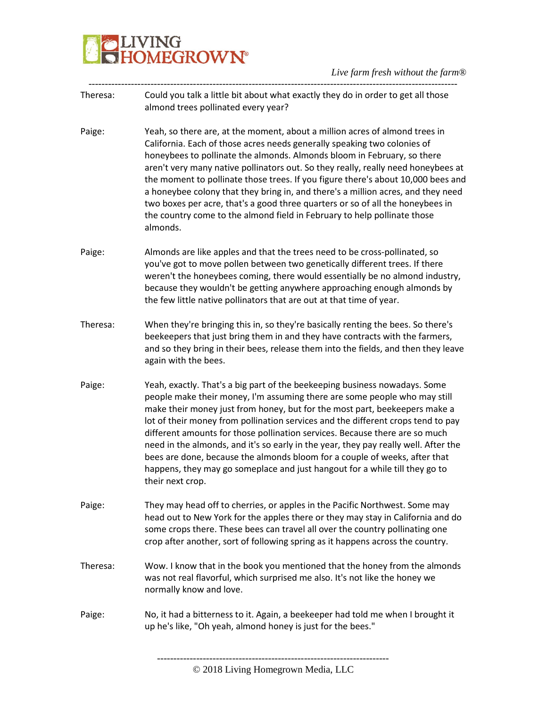

- ----------------------------------------------------------------------------------------------------------------- Theresa: Could you talk a little bit about what exactly they do in order to get all those almond trees pollinated every year?
- Paige: Yeah, so there are, at the moment, about a million acres of almond trees in California. Each of those acres needs generally speaking two colonies of honeybees to pollinate the almonds. Almonds bloom in February, so there aren't very many native pollinators out. So they really, really need honeybees at the moment to pollinate those trees. If you figure there's about 10,000 bees and a honeybee colony that they bring in, and there's a million acres, and they need two boxes per acre, that's a good three quarters or so of all the honeybees in the country come to the almond field in February to help pollinate those almonds.
- Paige: Almonds are like apples and that the trees need to be cross-pollinated, so you've got to move pollen between two genetically different trees. If there weren't the honeybees coming, there would essentially be no almond industry, because they wouldn't be getting anywhere approaching enough almonds by the few little native pollinators that are out at that time of year.
- Theresa: When they're bringing this in, so they're basically renting the bees. So there's beekeepers that just bring them in and they have contracts with the farmers, and so they bring in their bees, release them into the fields, and then they leave again with the bees.
- Paige: Yeah, exactly. That's a big part of the beekeeping business nowadays. Some people make their money, I'm assuming there are some people who may still make their money just from honey, but for the most part, beekeepers make a lot of their money from pollination services and the different crops tend to pay different amounts for those pollination services. Because there are so much need in the almonds, and it's so early in the year, they pay really well. After the bees are done, because the almonds bloom for a couple of weeks, after that happens, they may go someplace and just hangout for a while till they go to their next crop.
- Paige: They may head off to cherries, or apples in the Pacific Northwest. Some may head out to New York for the apples there or they may stay in California and do some crops there. These bees can travel all over the country pollinating one crop after another, sort of following spring as it happens across the country.
- Theresa: Wow. I know that in the book you mentioned that the honey from the almonds was not real flavorful, which surprised me also. It's not like the honey we normally know and love.
- Paige: No, it had a bitterness to it. Again, a beekeeper had told me when I brought it up he's like, "Oh yeah, almond honey is just for the bees."

-----------------------------------------------------------------------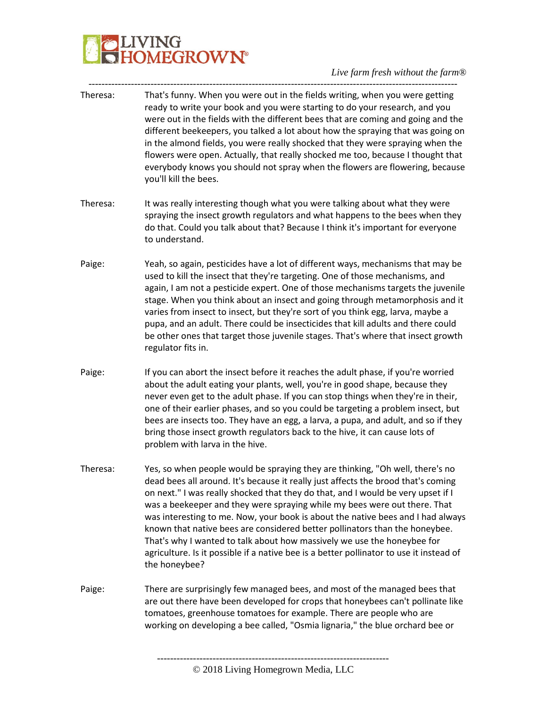## **BELIVING**<br>**BELIVING**<br> **BELIVING**

*Live farm fresh without the farm®*

| Theresa: | That's funny. When you were out in the fields writing, when you were getting<br>ready to write your book and you were starting to do your research, and you<br>were out in the fields with the different bees that are coming and going and the<br>different beekeepers, you talked a lot about how the spraying that was going on<br>in the almond fields, you were really shocked that they were spraying when the<br>flowers were open. Actually, that really shocked me too, because I thought that<br>everybody knows you should not spray when the flowers are flowering, because<br>you'll kill the bees.                                                                             |
|----------|----------------------------------------------------------------------------------------------------------------------------------------------------------------------------------------------------------------------------------------------------------------------------------------------------------------------------------------------------------------------------------------------------------------------------------------------------------------------------------------------------------------------------------------------------------------------------------------------------------------------------------------------------------------------------------------------|
| Theresa: | It was really interesting though what you were talking about what they were<br>spraying the insect growth regulators and what happens to the bees when they<br>do that. Could you talk about that? Because I think it's important for everyone<br>to understand.                                                                                                                                                                                                                                                                                                                                                                                                                             |
| Paige:   | Yeah, so again, pesticides have a lot of different ways, mechanisms that may be<br>used to kill the insect that they're targeting. One of those mechanisms, and<br>again, I am not a pesticide expert. One of those mechanisms targets the juvenile<br>stage. When you think about an insect and going through metamorphosis and it<br>varies from insect to insect, but they're sort of you think egg, larva, maybe a<br>pupa, and an adult. There could be insecticides that kill adults and there could<br>be other ones that target those juvenile stages. That's where that insect growth<br>regulator fits in.                                                                         |
| Paige:   | If you can abort the insect before it reaches the adult phase, if you're worried<br>about the adult eating your plants, well, you're in good shape, because they<br>never even get to the adult phase. If you can stop things when they're in their,<br>one of their earlier phases, and so you could be targeting a problem insect, but<br>bees are insects too. They have an egg, a larva, a pupa, and adult, and so if they<br>bring those insect growth regulators back to the hive, it can cause lots of<br>problem with larva in the hive.                                                                                                                                             |
| Theresa: | Yes, so when people would be spraying they are thinking, "Oh well, there's no<br>dead bees all around. It's because it really just affects the brood that's coming<br>on next." I was really shocked that they do that, and I would be very upset if I<br>was a beekeeper and they were spraying while my bees were out there. That<br>was interesting to me. Now, your book is about the native bees and I had always<br>known that native bees are considered better pollinators than the honeybee.<br>That's why I wanted to talk about how massively we use the honeybee for<br>agriculture. Is it possible if a native bee is a better pollinator to use it instead of<br>the honeybee? |
| Paige:   | There are surprisingly few managed bees, and most of the managed bees that<br>are out there have been developed for crops that honeybees can't pollinate like<br>tomatoes, greenhouse tomatoes for example. There are people who are<br>working on developing a bee called, "Osmia lignaria," the blue orchard bee or                                                                                                                                                                                                                                                                                                                                                                        |
|          |                                                                                                                                                                                                                                                                                                                                                                                                                                                                                                                                                                                                                                                                                              |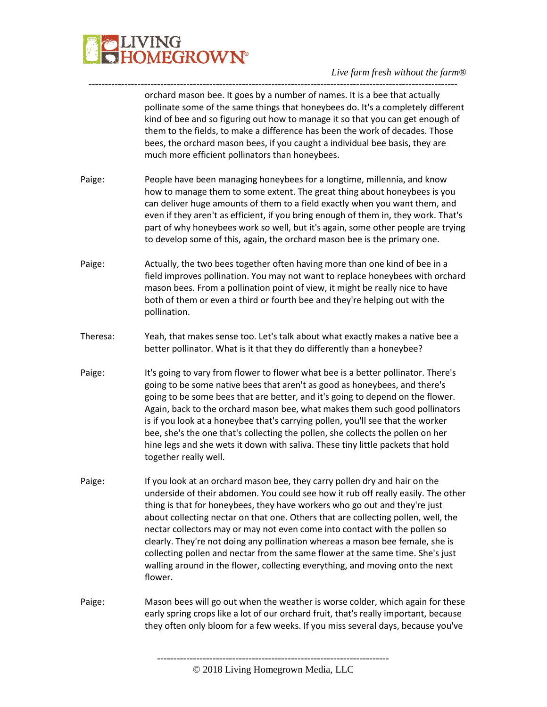

---------------------------------------------------------------------------------------------------------------- orchard mason bee. It goes by a number of names. It is a bee that actually pollinate some of the same things that honeybees do. It's a completely different kind of bee and so figuring out how to manage it so that you can get enough of them to the fields, to make a difference has been the work of decades. Those bees, the orchard mason bees, if you caught a individual bee basis, they are much more efficient pollinators than honeybees.

- Paige: People have been managing honeybees for a longtime, millennia, and know how to manage them to some extent. The great thing about honeybees is you can deliver huge amounts of them to a field exactly when you want them, and even if they aren't as efficient, if you bring enough of them in, they work. That's part of why honeybees work so well, but it's again, some other people are trying to develop some of this, again, the orchard mason bee is the primary one.
- Paige: Actually, the two bees together often having more than one kind of bee in a field improves pollination. You may not want to replace honeybees with orchard mason bees. From a pollination point of view, it might be really nice to have both of them or even a third or fourth bee and they're helping out with the pollination.
- Theresa: Yeah, that makes sense too. Let's talk about what exactly makes a native bee a better pollinator. What is it that they do differently than a honeybee?
- Paige: It's going to vary from flower to flower what bee is a better pollinator. There's going to be some native bees that aren't as good as honeybees, and there's going to be some bees that are better, and it's going to depend on the flower. Again, back to the orchard mason bee, what makes them such good pollinators is if you look at a honeybee that's carrying pollen, you'll see that the worker bee, she's the one that's collecting the pollen, she collects the pollen on her hine legs and she wets it down with saliva. These tiny little packets that hold together really well.
- Paige: If you look at an orchard mason bee, they carry pollen dry and hair on the underside of their abdomen. You could see how it rub off really easily. The other thing is that for honeybees, they have workers who go out and they're just about collecting nectar on that one. Others that are collecting pollen, well, the nectar collectors may or may not even come into contact with the pollen so clearly. They're not doing any pollination whereas a mason bee female, she is collecting pollen and nectar from the same flower at the same time. She's just walling around in the flower, collecting everything, and moving onto the next flower.
- Paige: Mason bees will go out when the weather is worse colder, which again for these early spring crops like a lot of our orchard fruit, that's really important, because they often only bloom for a few weeks. If you miss several days, because you've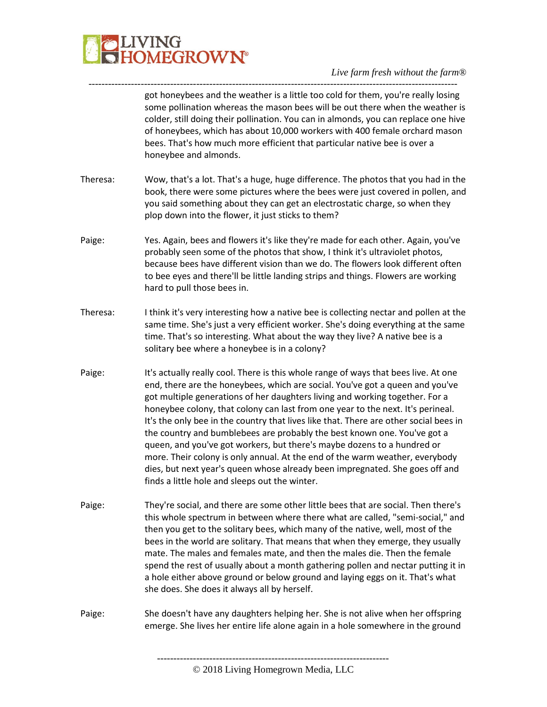

---------------------------------------------------------------------------------------------------------------- got honeybees and the weather is a little too cold for them, you're really losing some pollination whereas the mason bees will be out there when the weather is colder, still doing their pollination. You can in almonds, you can replace one hive of honeybees, which has about 10,000 workers with 400 female orchard mason bees. That's how much more efficient that particular native bee is over a honeybee and almonds.

- Theresa: Wow, that's a lot. That's a huge, huge difference. The photos that you had in the book, there were some pictures where the bees were just covered in pollen, and you said something about they can get an electrostatic charge, so when they plop down into the flower, it just sticks to them?
- Paige: Yes. Again, bees and flowers it's like they're made for each other. Again, you've probably seen some of the photos that show, I think it's ultraviolet photos, because bees have different vision than we do. The flowers look different often to bee eyes and there'll be little landing strips and things. Flowers are working hard to pull those bees in.
- Theresa: I think it's very interesting how a native bee is collecting nectar and pollen at the same time. She's just a very efficient worker. She's doing everything at the same time. That's so interesting. What about the way they live? A native bee is a solitary bee where a honeybee is in a colony?
- Paige: It's actually really cool. There is this whole range of ways that bees live. At one end, there are the honeybees, which are social. You've got a queen and you've got multiple generations of her daughters living and working together. For a honeybee colony, that colony can last from one year to the next. It's perineal. It's the only bee in the country that lives like that. There are other social bees in the country and bumblebees are probably the best known one. You've got a queen, and you've got workers, but there's maybe dozens to a hundred or more. Their colony is only annual. At the end of the warm weather, everybody dies, but next year's queen whose already been impregnated. She goes off and finds a little hole and sleeps out the winter.
- Paige: They're social, and there are some other little bees that are social. Then there's this whole spectrum in between where there what are called, "semi-social," and then you get to the solitary bees, which many of the native, well, most of the bees in the world are solitary. That means that when they emerge, they usually mate. The males and females mate, and then the males die. Then the female spend the rest of usually about a month gathering pollen and nectar putting it in a hole either above ground or below ground and laying eggs on it. That's what she does. She does it always all by herself.
- Paige: She doesn't have any daughters helping her. She is not alive when her offspring emerge. She lives her entire life alone again in a hole somewhere in the ground

<sup>-----------------------------------------------------------------------</sup> © 2018 Living Homegrown Media, LLC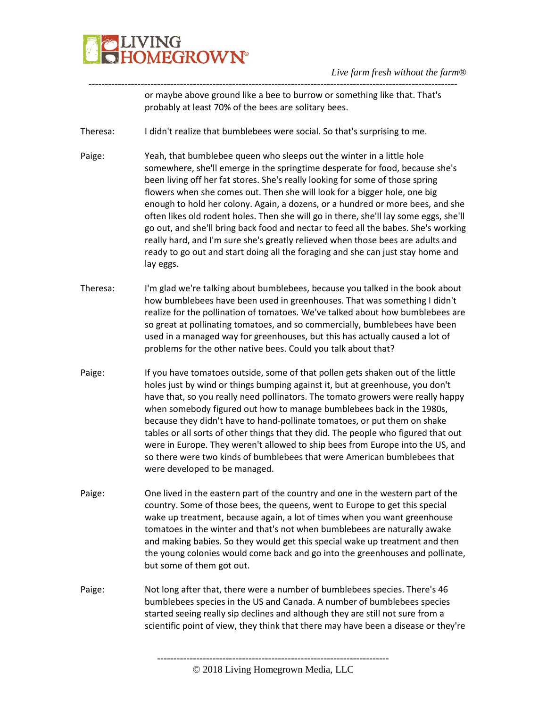## LIVING<br>HOMEGROW**N°**

*Live farm fresh without the farm®*

---------------------------------------------------------------------------------------------------------------- or maybe above ground like a bee to burrow or something like that. That's probably at least 70% of the bees are solitary bees.

- Theresa: I didn't realize that bumblebees were social. So that's surprising to me.
- Paige: Yeah, that bumblebee queen who sleeps out the winter in a little hole somewhere, she'll emerge in the springtime desperate for food, because she's been living off her fat stores. She's really looking for some of those spring flowers when she comes out. Then she will look for a bigger hole, one big enough to hold her colony. Again, a dozens, or a hundred or more bees, and she often likes old rodent holes. Then she will go in there, she'll lay some eggs, she'll go out, and she'll bring back food and nectar to feed all the babes. She's working really hard, and I'm sure she's greatly relieved when those bees are adults and ready to go out and start doing all the foraging and she can just stay home and lay eggs.
- Theresa: I'm glad we're talking about bumblebees, because you talked in the book about how bumblebees have been used in greenhouses. That was something I didn't realize for the pollination of tomatoes. We've talked about how bumblebees are so great at pollinating tomatoes, and so commercially, bumblebees have been used in a managed way for greenhouses, but this has actually caused a lot of problems for the other native bees. Could you talk about that?
- Paige: If you have tomatoes outside, some of that pollen gets shaken out of the little holes just by wind or things bumping against it, but at greenhouse, you don't have that, so you really need pollinators. The tomato growers were really happy when somebody figured out how to manage bumblebees back in the 1980s, because they didn't have to hand-pollinate tomatoes, or put them on shake tables or all sorts of other things that they did. The people who figured that out were in Europe. They weren't allowed to ship bees from Europe into the US, and so there were two kinds of bumblebees that were American bumblebees that were developed to be managed.
- Paige: One lived in the eastern part of the country and one in the western part of the country. Some of those bees, the queens, went to Europe to get this special wake up treatment, because again, a lot of times when you want greenhouse tomatoes in the winter and that's not when bumblebees are naturally awake and making babies. So they would get this special wake up treatment and then the young colonies would come back and go into the greenhouses and pollinate, but some of them got out.
- Paige: Not long after that, there were a number of bumblebees species. There's 46 bumblebees species in the US and Canada. A number of bumblebees species started seeing really sip declines and although they are still not sure from a scientific point of view, they think that there may have been a disease or they're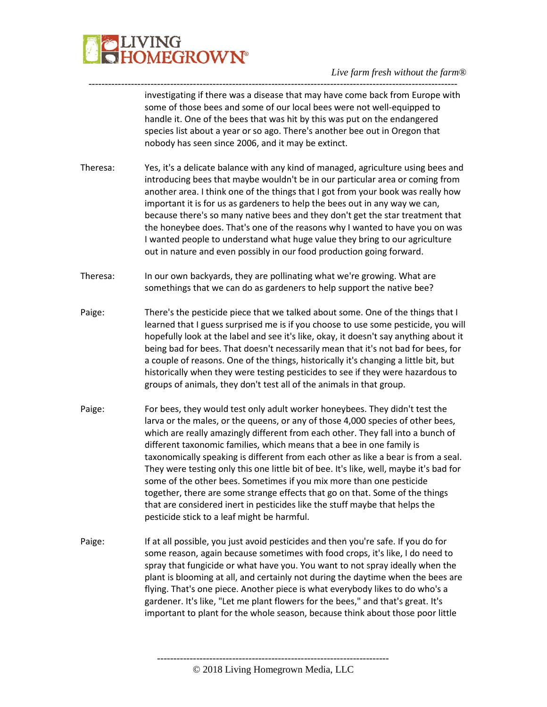

investigating if there was a disease that may have come back from Europe with some of those bees and some of our local bees were not well-equipped to handle it. One of the bees that was hit by this was put on the endangered species list about a year or so ago. There's another bee out in Oregon that nobody has seen since 2006, and it may be extinct.

Theresa: Yes, it's a delicate balance with any kind of managed, agriculture using bees and introducing bees that maybe wouldn't be in our particular area or coming from another area. I think one of the things that I got from your book was really how important it is for us as gardeners to help the bees out in any way we can, because there's so many native bees and they don't get the star treatment that the honeybee does. That's one of the reasons why I wanted to have you on was I wanted people to understand what huge value they bring to our agriculture out in nature and even possibly in our food production going forward.

-----------------------------------------------------------------------------------------------------------------

- Theresa: In our own backyards, they are pollinating what we're growing. What are somethings that we can do as gardeners to help support the native bee?
- Paige: There's the pesticide piece that we talked about some. One of the things that I learned that I guess surprised me is if you choose to use some pesticide, you will hopefully look at the label and see it's like, okay, it doesn't say anything about it being bad for bees. That doesn't necessarily mean that it's not bad for bees, for a couple of reasons. One of the things, historically it's changing a little bit, but historically when they were testing pesticides to see if they were hazardous to groups of animals, they don't test all of the animals in that group.
- Paige: For bees, they would test only adult worker honeybees. They didn't test the larva or the males, or the queens, or any of those 4,000 species of other bees, which are really amazingly different from each other. They fall into a bunch of different taxonomic families, which means that a bee in one family is taxonomically speaking is different from each other as like a bear is from a seal. They were testing only this one little bit of bee. It's like, well, maybe it's bad for some of the other bees. Sometimes if you mix more than one pesticide together, there are some strange effects that go on that. Some of the things that are considered inert in pesticides like the stuff maybe that helps the pesticide stick to a leaf might be harmful.
- Paige: If at all possible, you just avoid pesticides and then you're safe. If you do for some reason, again because sometimes with food crops, it's like, I do need to spray that fungicide or what have you. You want to not spray ideally when the plant is blooming at all, and certainly not during the daytime when the bees are flying. That's one piece. Another piece is what everybody likes to do who's a gardener. It's like, "Let me plant flowers for the bees," and that's great. It's important to plant for the whole season, because think about those poor little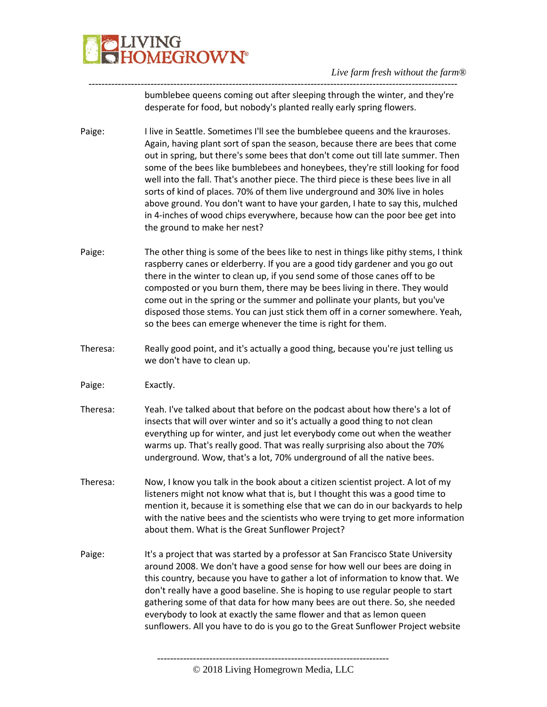

---------------------------------------------------------------------------------------------------------------- bumblebee queens coming out after sleeping through the winter, and they're desperate for food, but nobody's planted really early spring flowers.

- Paige: I live in Seattle. Sometimes I'll see the bumblebee queens and the krauroses. Again, having plant sort of span the season, because there are bees that come out in spring, but there's some bees that don't come out till late summer. Then some of the bees like bumblebees and honeybees, they're still looking for food well into the fall. That's another piece. The third piece is these bees live in all sorts of kind of places. 70% of them live underground and 30% live in holes above ground. You don't want to have your garden, I hate to say this, mulched in 4-inches of wood chips everywhere, because how can the poor bee get into the ground to make her nest?
- Paige: The other thing is some of the bees like to nest in things like pithy stems, I think raspberry canes or elderberry. If you are a good tidy gardener and you go out there in the winter to clean up, if you send some of those canes off to be composted or you burn them, there may be bees living in there. They would come out in the spring or the summer and pollinate your plants, but you've disposed those stems. You can just stick them off in a corner somewhere. Yeah, so the bees can emerge whenever the time is right for them.
- Theresa: Really good point, and it's actually a good thing, because you're just telling us we don't have to clean up.
- Paige: Exactly.
- Theresa: Yeah. I've talked about that before on the podcast about how there's a lot of insects that will over winter and so it's actually a good thing to not clean everything up for winter, and just let everybody come out when the weather warms up. That's really good. That was really surprising also about the 70% underground. Wow, that's a lot, 70% underground of all the native bees.
- Theresa: Now, I know you talk in the book about a citizen scientist project. A lot of my listeners might not know what that is, but I thought this was a good time to mention it, because it is something else that we can do in our backyards to help with the native bees and the scientists who were trying to get more information about them. What is the Great Sunflower Project?
- Paige: It's a project that was started by a professor at San Francisco State University around 2008. We don't have a good sense for how well our bees are doing in this country, because you have to gather a lot of information to know that. We don't really have a good baseline. She is hoping to use regular people to start gathering some of that data for how many bees are out there. So, she needed everybody to look at exactly the same flower and that as lemon queen sunflowers. All you have to do is you go to the Great Sunflower Project website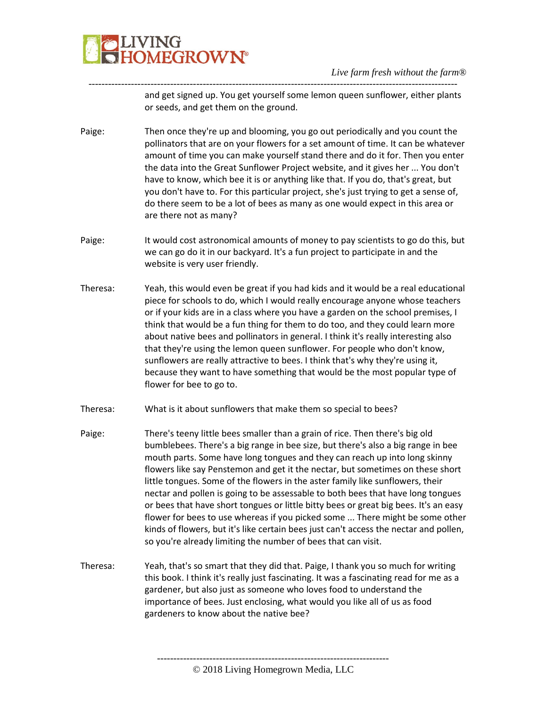

---------------------------------------------------------------------------------------------------------------- and get signed up. You get yourself some lemon queen sunflower, either plants or seeds, and get them on the ground.

- Paige: Then once they're up and blooming, you go out periodically and you count the pollinators that are on your flowers for a set amount of time. It can be whatever amount of time you can make yourself stand there and do it for. Then you enter the data into the Great Sunflower Project website, and it gives her ... You don't have to know, which bee it is or anything like that. If you do, that's great, but you don't have to. For this particular project, she's just trying to get a sense of, do there seem to be a lot of bees as many as one would expect in this area or are there not as many?
- Paige: It would cost astronomical amounts of money to pay scientists to go do this, but we can go do it in our backyard. It's a fun project to participate in and the website is very user friendly.
- Theresa: Yeah, this would even be great if you had kids and it would be a real educational piece for schools to do, which I would really encourage anyone whose teachers or if your kids are in a class where you have a garden on the school premises, I think that would be a fun thing for them to do too, and they could learn more about native bees and pollinators in general. I think it's really interesting also that they're using the lemon queen sunflower. For people who don't know, sunflowers are really attractive to bees. I think that's why they're using it, because they want to have something that would be the most popular type of flower for bee to go to.
- Theresa: What is it about sunflowers that make them so special to bees?
- Paige: There's teeny little bees smaller than a grain of rice. Then there's big old bumblebees. There's a big range in bee size, but there's also a big range in bee mouth parts. Some have long tongues and they can reach up into long skinny flowers like say Penstemon and get it the nectar, but sometimes on these short little tongues. Some of the flowers in the aster family like sunflowers, their nectar and pollen is going to be assessable to both bees that have long tongues or bees that have short tongues or little bitty bees or great big bees. It's an easy flower for bees to use whereas if you picked some ... There might be some other kinds of flowers, but it's like certain bees just can't access the nectar and pollen, so you're already limiting the number of bees that can visit.
- Theresa: Yeah, that's so smart that they did that. Paige, I thank you so much for writing this book. I think it's really just fascinating. It was a fascinating read for me as a gardener, but also just as someone who loves food to understand the importance of bees. Just enclosing, what would you like all of us as food gardeners to know about the native bee?